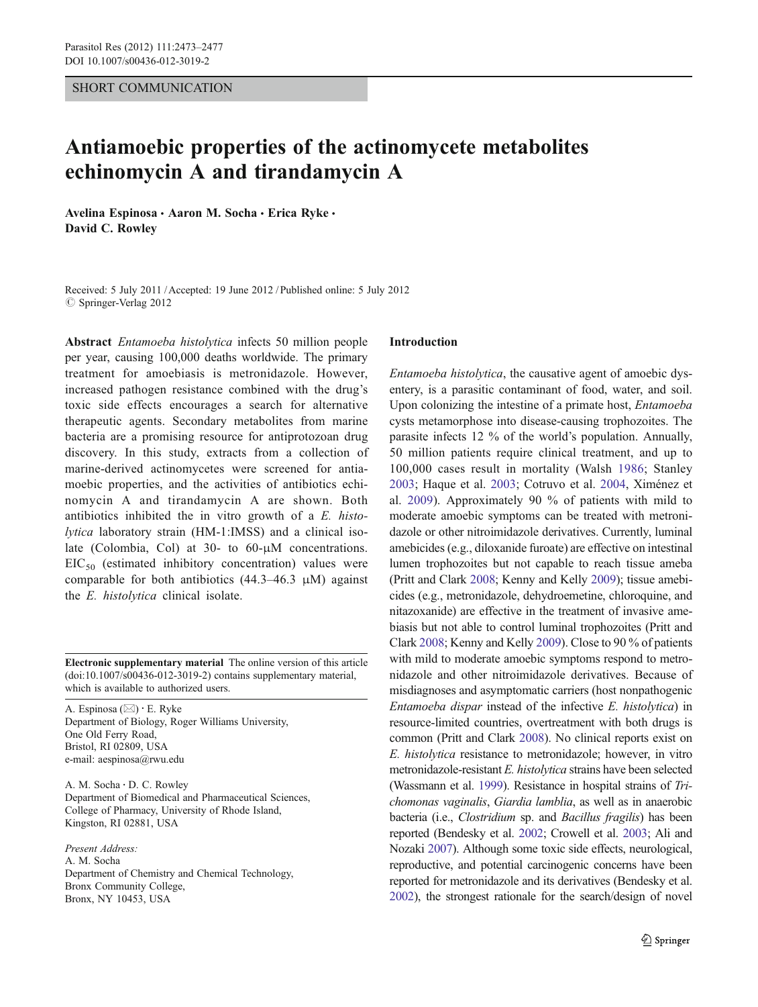## SHORT COMMUNICATION

# Antiamoebic properties of the actinomycete metabolites echinomycin A and tirandamycin A

Avelina Espinosa · Aaron M. Socha · Erica Ryke · David C. Rowley

Received: 5 July 2011 /Accepted: 19 June 2012 / Published online: 5 July 2012  $\oslash$  Springer-Verlag 2012

Abstract Entamoeba histolytica infects 50 million people per year, causing 100,000 deaths worldwide. The primary treatment for amoebiasis is metronidazole. However, increased pathogen resistance combined with the drug's toxic side effects encourages a search for alternative therapeutic agents. Secondary metabolites from marine bacteria are a promising resource for antiprotozoan drug discovery. In this study, extracts from a collection of marine-derived actinomycetes were screened for antiamoebic properties, and the activities of antibiotics echinomycin A and tirandamycin A are shown. Both antibiotics inhibited the in vitro growth of a E. histolytica laboratory strain (HM-1:IMSS) and a clinical isolate (Colombia, Col) at 30- to 60-μM concentrations.  $EIC_{50}$  (estimated inhibitory concentration) values were comparable for both antibiotics  $(44.3-46.3 \mu M)$  against the E. histolytica clinical isolate.

Electronic supplementary material The online version of this article (doi:[10.1007/s00436-012-3019-2](http://dx.doi.org/10.1007/s00436-012-3019-2)) contains supplementary material, which is available to authorized users.

A. Espinosa ( $\boxtimes$ ) · E. Ryke Department of Biology, Roger Williams University, One Old Ferry Road, Bristol, RI 02809, USA e-mail: aespinosa@rwu.edu

A. M. Socha : D. C. Rowley Department of Biomedical and Pharmaceutical Sciences, College of Pharmacy, University of Rhode Island, Kingston, RI 02881, USA

Present Address: A. M. Socha Department of Chemistry and Chemical Technology, Bronx Community College, Bronx, NY 10453, USA

### Introduction

Entamoeba histolytica, the causative agent of amoebic dysentery, is a parasitic contaminant of food, water, and soil. Upon colonizing the intestine of a primate host, Entamoeba cysts metamorphose into disease-causing trophozoites. The parasite infects 12 % of the world's population. Annually, 50 million patients require clinical treatment, and up to 100,000 cases result in mortality (Walsh [1986](#page-4-0); Stanley [2003](#page-4-0); Haque et al. [2003;](#page-4-0) Cotruvo et al. [2004,](#page-4-0) Ximénez et al. [2009](#page-4-0)). Approximately 90 % of patients with mild to moderate amoebic symptoms can be treated with metronidazole or other nitroimidazole derivatives. Currently, luminal amebicides (e.g., diloxanide furoate) are effective on intestinal lumen trophozoites but not capable to reach tissue ameba (Pritt and Clark [2008](#page-4-0); Kenny and Kelly [2009](#page-4-0)); tissue amebicides (e.g., metronidazole, dehydroemetine, chloroquine, and nitazoxanide) are effective in the treatment of invasive amebiasis but not able to control luminal trophozoites (Pritt and Clark [2008](#page-4-0); Kenny and Kelly [2009](#page-4-0)). Close to 90 % of patients with mild to moderate amoebic symptoms respond to metronidazole and other nitroimidazole derivatives. Because of misdiagnoses and asymptomatic carriers (host nonpathogenic Entamoeba dispar instead of the infective E. histolytica) in resource-limited countries, overtreatment with both drugs is common (Pritt and Clark [2008\)](#page-4-0). No clinical reports exist on E. histolytica resistance to metronidazole; however, in vitro metronidazole-resistant E. histolytica strains have been selected (Wassmann et al. [1999](#page-4-0)). Resistance in hospital strains of Trichomonas vaginalis, Giardia lamblia, as well as in anaerobic bacteria (i.e., Clostridium sp. and Bacillus fragilis) has been reported (Bendesky et al. [2002](#page-4-0); Crowell et al. [2003;](#page-4-0) Ali and Nozaki [2007\)](#page-4-0). Although some toxic side effects, neurological, reproductive, and potential carcinogenic concerns have been reported for metronidazole and its derivatives (Bendesky et al. [2002](#page-4-0)), the strongest rationale for the search/design of novel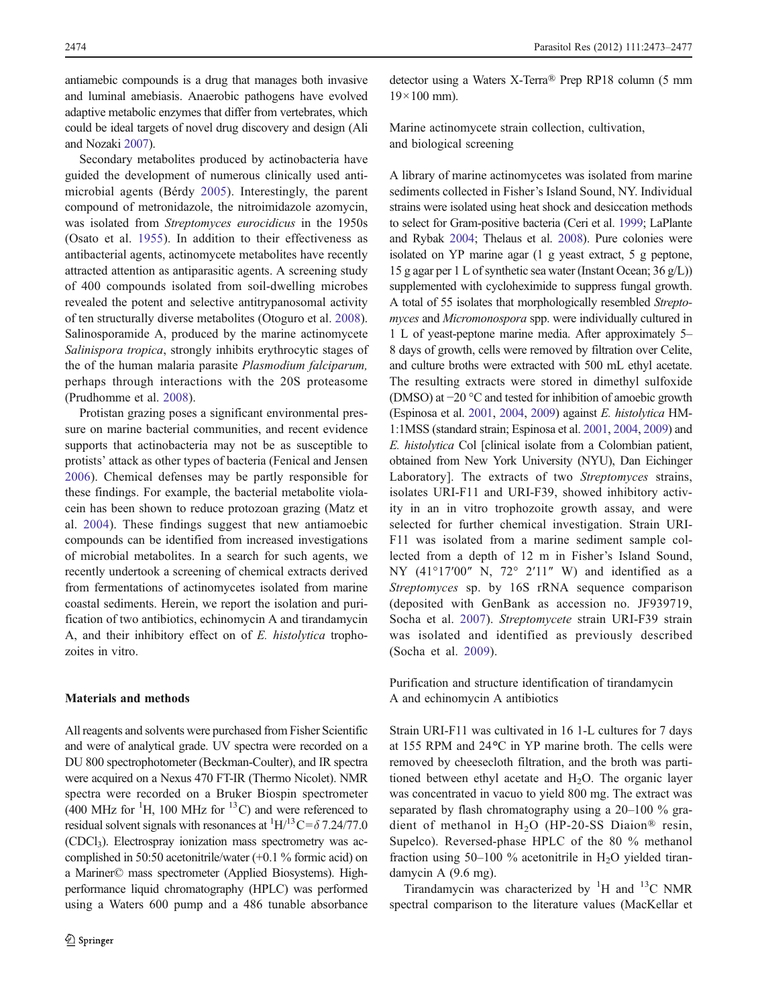antiamebic compounds is a drug that manages both invasive and luminal amebiasis. Anaerobic pathogens have evolved adaptive metabolic enzymes that differ from vertebrates, which could be ideal targets of novel drug discovery and design (Ali and Nozaki [2007\)](#page-4-0).

Secondary metabolites produced by actinobacteria have guided the development of numerous clinically used antimicrobial agents (Bérdy [2005](#page-4-0)). Interestingly, the parent compound of metronidazole, the nitroimidazole azomycin, was isolated from Streptomyces eurocidicus in the 1950s (Osato et al. [1955](#page-4-0)). In addition to their effectiveness as antibacterial agents, actinomycete metabolites have recently attracted attention as antiparasitic agents. A screening study of 400 compounds isolated from soil-dwelling microbes revealed the potent and selective antitrypanosomal activity of ten structurally diverse metabolites (Otoguro et al. [2008](#page-4-0)). Salinosporamide A, produced by the marine actinomycete Salinispora tropica, strongly inhibits erythrocytic stages of the of the human malaria parasite Plasmodium falciparum, perhaps through interactions with the 20S proteasome (Prudhomme et al. [2008](#page-4-0)).

Protistan grazing poses a significant environmental pressure on marine bacterial communities, and recent evidence supports that actinobacteria may not be as susceptible to protists' attack as other types of bacteria (Fenical and Jensen [2006](#page-4-0)). Chemical defenses may be partly responsible for these findings. For example, the bacterial metabolite violacein has been shown to reduce protozoan grazing (Matz et al. [2004\)](#page-4-0). These findings suggest that new antiamoebic compounds can be identified from increased investigations of microbial metabolites. In a search for such agents, we recently undertook a screening of chemical extracts derived from fermentations of actinomycetes isolated from marine coastal sediments. Herein, we report the isolation and purification of two antibiotics, echinomycin A and tirandamycin A, and their inhibitory effect on of E. histolytica trophozoites in vitro.

## Materials and methods

All reagents and solvents were purchased from Fisher Scientific and were of analytical grade. UV spectra were recorded on a DU 800 spectrophotometer (Beckman-Coulter), and IR spectra were acquired on a Nexus 470 FT-IR (Thermo Nicolet). NMR spectra were recorded on a Bruker Biospin spectrometer (400 MHz for  ${}^{1}$ H, 100 MHz for  ${}^{13}$ C) and were referenced to residual solvent signals with resonances at  ${}^{1}H/{}^{13}C = \delta 7.24/77.0$  $(CDCl<sub>3</sub>)$ . Electrospray ionization mass spectrometry was accomplished in 50:50 acetonitrile/water (+0.1 % formic acid) on a Mariner© mass spectrometer (Applied Biosystems). Highperformance liquid chromatography (HPLC) was performed using a Waters 600 pump and a 486 tunable absorbance detector using a Waters X-Terra® Prep RP18 column (5 mm  $19\times100$  mm).

Marine actinomycete strain collection, cultivation, and biological screening

A library of marine actinomycetes was isolated from marine sediments collected in Fisher's Island Sound, NY. Individual strains were isolated using heat shock and desiccation methods to select for Gram-positive bacteria (Ceri et al. [1999](#page-4-0); LaPlante and Rybak [2004;](#page-4-0) Thelaus et al. [2008](#page-4-0)). Pure colonies were isolated on YP marine agar (1 g yeast extract, 5 g peptone, 15 g agar per 1 L of synthetic sea water (Instant Ocean; 36 g/L)) supplemented with cycloheximide to suppress fungal growth. A total of 55 isolates that morphologically resembled Streptomyces and Micromonospora spp. were individually cultured in 1 L of yeast-peptone marine media. After approximately 5– 8 days of growth, cells were removed by filtration over Celite, and culture broths were extracted with 500 mL ethyl acetate. The resulting extracts were stored in dimethyl sulfoxide (DMSO) at −20 °C and tested for inhibition of amoebic growth (Espinosa et al. [2001](#page-4-0), [2004,](#page-4-0) [2009](#page-4-0)) against E. histolytica HM-1:1MSS (standard strain; Espinosa et al. [2001,](#page-4-0) [2004](#page-4-0), [2009](#page-4-0)) and E. histolytica Col [clinical isolate from a Colombian patient, obtained from New York University (NYU), Dan Eichinger Laboratory]. The extracts of two Streptomyces strains, isolates URI-F11 and URI-F39, showed inhibitory activity in an in vitro trophozoite growth assay, and were selected for further chemical investigation. Strain URI-F11 was isolated from a marine sediment sample collected from a depth of 12 m in Fisher's Island Sound, NY (41°17'00" N, 72° 2'11" W) and identified as a Streptomyces sp. by 16S rRNA sequence comparison (deposited with GenBank as accession no. JF939719, Socha et al. [2007\)](#page-4-0). Streptomycete strain URI-F39 strain was isolated and identified as previously described (Socha et al. [2009](#page-4-0)).

Purification and structure identification of tirandamycin A and echinomycin A antibiotics

Strain URI-F11 was cultivated in 16 1-L cultures for 7 days at 155 RPM and 24°C in YP marine broth. The cells were removed by cheesecloth filtration, and the broth was partitioned between ethyl acetate and  $H_2O$ . The organic layer was concentrated in vacuo to yield 800 mg. The extract was separated by flash chromatography using a 20–100 % gradient of methanol in H2O (HP-20-SS Diaion® resin, Supelco). Reversed-phase HPLC of the 80 % methanol fraction using  $50-100$  % acetonitrile in H<sub>2</sub>O yielded tirandamycin A (9.6 mg).

Tirandamycin was characterized by  ${}^{1}H$  and  ${}^{13}C$  NMR spectral comparison to the literature values (MacKellar et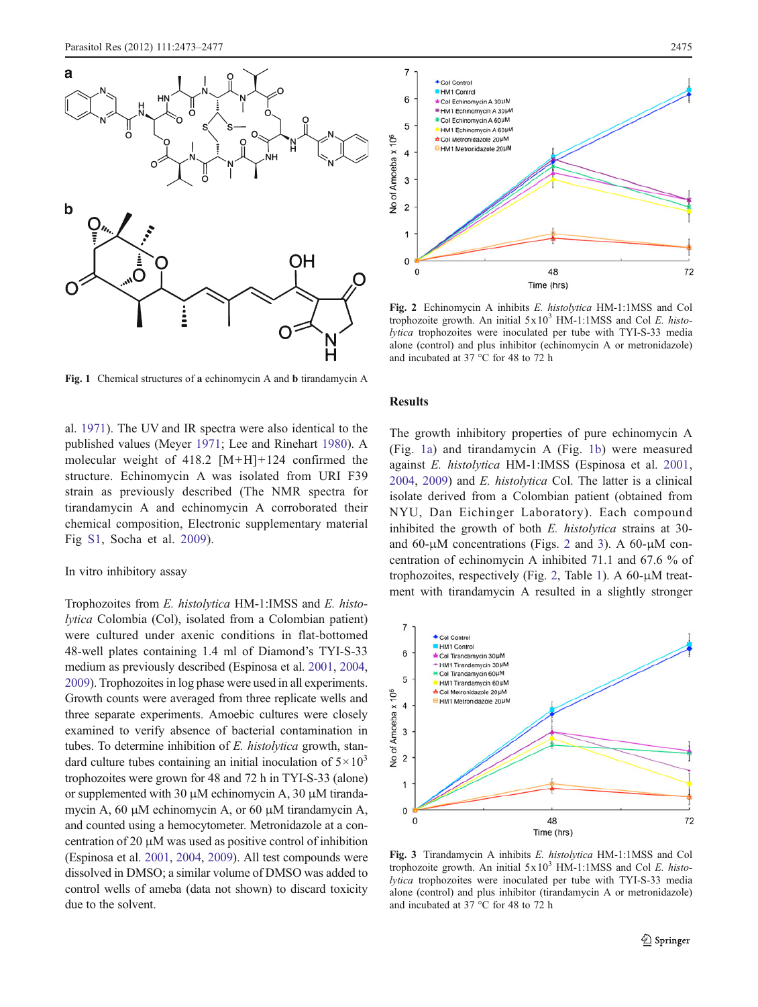<span id="page-2-0"></span>

Fig. 1 Chemical structures of a echinomycin A and b tirandamycin A

al. [1971\)](#page-4-0). The UV and IR spectra were also identical to the published values (Meyer [1971;](#page-4-0) Lee and Rinehart [1980\)](#page-4-0). A molecular weight of 418.2 [M+H]+124 confirmed the structure. Echinomycin A was isolated from URI F39 strain as previously described (The NMR spectra for tirandamycin A and echinomycin A corroborated their chemical composition, Electronic supplementary material Fig S1, Socha et al. [2009](#page-4-0)).

## In vitro inhibitory assay

Trophozoites from E. histolytica HM-1:IMSS and E. histolytica Colombia (Col), isolated from a Colombian patient) were cultured under axenic conditions in flat-bottomed 48-well plates containing 1.4 ml of Diamond's TYI-S-33 medium as previously described (Espinosa et al. [2001,](#page-4-0) [2004,](#page-4-0) [2009\)](#page-4-0). Trophozoites in log phase were used in all experiments. Growth counts were averaged from three replicate wells and three separate experiments. Amoebic cultures were closely examined to verify absence of bacterial contamination in tubes. To determine inhibition of E. histolytica growth, standard culture tubes containing an initial inoculation of  $5 \times 10^3$ trophozoites were grown for 48 and 72 h in TYI-S-33 (alone) or supplemented with 30 μM echinomycin A, 30 μM tirandamycin A, 60 μM echinomycin A, or 60 μM tirandamycin A, and counted using a hemocytometer. Metronidazole at a concentration of 20 μM was used as positive control of inhibition (Espinosa et al. [2001](#page-4-0), [2004](#page-4-0), [2009\)](#page-4-0). All test compounds were dissolved in DMSO; a similar volume of DMSO was added to control wells of ameba (data not shown) to discard toxicity due to the solvent.



Fig. 2 Echinomycin A inhibits E. histolytica HM-1:1MSS and Col trophozoite growth. An initial  $5x10^3$  HM-1:1MSS and Col E. histolytica trophozoites were inoculated per tube with TYI-S-33 media alone (control) and plus inhibitor (echinomycin A or metronidazole) and incubated at 37 °C for 48 to 72 h

#### Results

The growth inhibitory properties of pure echinomycin A (Fig. 1a) and tirandamycin A (Fig. 1b) were measured against E. histolytica HM-1:IMSS (Espinosa et al. [2001,](#page-4-0) [2004](#page-4-0), [2009](#page-4-0)) and E. histolytica Col. The latter is a clinical isolate derived from a Colombian patient (obtained from NYU, Dan Eichinger Laboratory). Each compound inhibited the growth of both E. histolytica strains at 30 and 60-μM concentrations (Figs. 2 and 3). A 60-μM concentration of echinomycin A inhibited 71.1 and 67.6 % of trophozoites, respectively (Fig. 2, Table [1](#page-3-0)). A 60-μM treatment with tirandamycin A resulted in a slightly stronger



Fig. 3 Tirandamycin A inhibits E. histolytica HM-1:1MSS and Col trophozoite growth. An initial  $5x10^3$  HM-1:1MSS and Col E. histolytica trophozoites were inoculated per tube with TYI-S-33 media alone (control) and plus inhibitor (tirandamycin A or metronidazole) and incubated at 37 °C for 48 to 72 h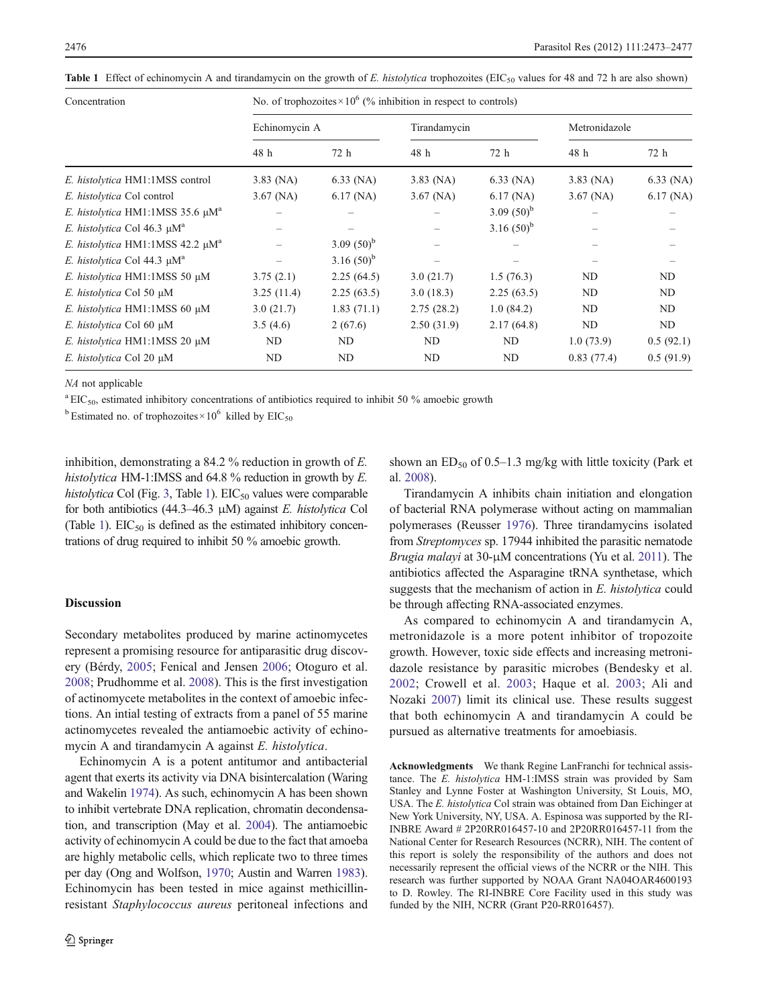| Concentration                                     | No. of trophozoites $\times 10^6$ (% inhibition in respect to controls) |               |              |               |               |             |
|---------------------------------------------------|-------------------------------------------------------------------------|---------------|--------------|---------------|---------------|-------------|
|                                                   | Echinomycin A                                                           |               | Tirandamycin |               | Metronidazole |             |
|                                                   | 48 h                                                                    | 72 h          | 48 h         | 72 h          | 48 h          | 72 h        |
| E. histolytica HM1:1MSS control                   | $3.83$ (NA)                                                             | $6.33$ (NA)   | $3.83$ (NA)  | $6.33$ (NA)   | $3.83$ (NA)   | $6.33$ (NA) |
| E. histolytica Col control                        | $3.67$ (NA)                                                             | $6.17$ (NA)   | $3.67$ (NA)  | $6.17$ (NA)   | $3.67$ (NA)   | $6.17$ (NA) |
| E. histolytica HM1:1MSS 35.6 $\mu$ M <sup>a</sup> |                                                                         |               |              | 3.09 $(50)^b$ |               |             |
| E. histolytica Col 46.3 $\mu$ M <sup>a</sup>      |                                                                         |               |              | 3.16 $(50)^b$ |               |             |
| E. histolytica HM1:1MSS 42.2 $\mu$ M <sup>a</sup> |                                                                         | 3.09 $(50)^b$ |              |               |               |             |
| E. histolytica Col 44.3 $\mu$ M <sup>a</sup>      |                                                                         | 3.16 $(50)^b$ |              |               |               |             |
| E. histolytica HM1:1MSS 50 µM                     | 3.75(2.1)                                                               | 2.25(64.5)    | 3.0(21.7)    | 1.5(76.3)     | ND            | ND          |
| E. histolytica Col 50 µM                          | 3.25(11.4)                                                              | 2.25(63.5)    | 3.0(18.3)    | 2.25(63.5)    | ND.           | ND          |
| E. histolytica HM1:1MSS 60 µM                     | 3.0(21.7)                                                               | 1.83(71.1)    | 2.75(28.2)   | 1.0(84.2)     | ND            | ND          |
| E. histolytica Col 60 µM                          | 3.5(4.6)                                                                | 2(67.6)       | 2.50(31.9)   | 2.17(64.8)    | ND            | ND          |
| E. histolytica HM1:1MSS 20 µM                     | ND                                                                      | ND            | ND           | ND            | 1.0(73.9)     | 0.5(92.1)   |
| E. histolytica Col 20 µM                          | ND                                                                      | ND            | ND           | ND.           | 0.83(77.4)    | 0.5(91.9)   |

<span id="page-3-0"></span>Table 1 Effect of echinomycin A and tirandamycin on the growth of E. histolytica trophozoites (EIC<sub>50</sub> values for 48 and 72 h are also shown)

NA not applicable

 ${}^{\rm a}$  EIC<sub>50</sub>, estimated inhibitory concentrations of antibiotics required to inhibit 50 % amoebic growth

<sup>b</sup> Estimated no. of trophozoites × 10<sup>6</sup> killed by EIC<sub>50</sub>

inhibition, demonstrating a 84.2 % reduction in growth of E. histolytica HM-1:IMSS and 64.8 % reduction in growth by E. histolytica Col (Fig. [3](#page-2-0), Table 1).  $EIC_{50}$  values were comparable for both antibiotics (44.3–46.3  $\mu$ M) against *E. histolytica* Col (Table 1).  $EIC_{50}$  is defined as the estimated inhibitory concentrations of drug required to inhibit 50 % amoebic growth.

#### **Discussion**

Secondary metabolites produced by marine actinomycetes represent a promising resource for antiparasitic drug discovery (Bérdy, [2005;](#page-4-0) Fenical and Jensen [2006](#page-4-0); Otoguro et al. [2008;](#page-4-0) Prudhomme et al. [2008](#page-4-0)). This is the first investigation of actinomycete metabolites in the context of amoebic infections. An intial testing of extracts from a panel of 55 marine actinomycetes revealed the antiamoebic activity of echinomycin A and tirandamycin A against E. histolytica.

Echinomycin A is a potent antitumor and antibacterial agent that exerts its activity via DNA bisintercalation (Waring and Wakelin [1974\)](#page-4-0). As such, echinomycin A has been shown to inhibit vertebrate DNA replication, chromatin decondensation, and transcription (May et al. [2004\)](#page-4-0). The antiamoebic activity of echinomycin A could be due to the fact that amoeba are highly metabolic cells, which replicate two to three times per day (Ong and Wolfson, [1970](#page-4-0); Austin and Warren [1983\)](#page-4-0). Echinomycin has been tested in mice against methicillinresistant Staphylococcus aureus peritoneal infections and shown an  $ED_{50}$  of 0.5–1.3 mg/kg with little toxicity (Park et al. [2008\)](#page-4-0).

Tirandamycin A inhibits chain initiation and elongation of bacterial RNA polymerase without acting on mammalian polymerases (Reusser [1976](#page-4-0)). Three tirandamycins isolated from Streptomyces sp. 17944 inhibited the parasitic nematode Brugia malayi at 30-μM concentrations (Yu et al. [2011\)](#page-4-0). The antibiotics affected the Asparagine tRNA synthetase, which suggests that the mechanism of action in E. histolytica could be through affecting RNA-associated enzymes.

As compared to echinomycin A and tirandamycin A, metronidazole is a more potent inhibitor of tropozoite growth. However, toxic side effects and increasing metronidazole resistance by parasitic microbes (Bendesky et al. [2002;](#page-4-0) Crowell et al. [2003;](#page-4-0) Haque et al. [2003;](#page-4-0) Ali and Nozaki [2007](#page-4-0)) limit its clinical use. These results suggest that both echinomycin A and tirandamycin A could be pursued as alternative treatments for amoebiasis.

Acknowledgments We thank Regine LanFranchi for technical assistance. The E. histolytica HM-1:IMSS strain was provided by Sam Stanley and Lynne Foster at Washington University, St Louis, MO, USA. The E. histolytica Col strain was obtained from Dan Eichinger at New York University, NY, USA. A. Espinosa was supported by the RI-INBRE Award # 2P20RR016457-10 and 2P20RR016457-11 from the National Center for Research Resources (NCRR), NIH. The content of this report is solely the responsibility of the authors and does not necessarily represent the official views of the NCRR or the NIH. This research was further supported by NOAA Grant NA04OAR4600193 to D. Rowley. The RI-INBRE Core Facility used in this study was funded by the NIH, NCRR (Grant P20-RR016457).